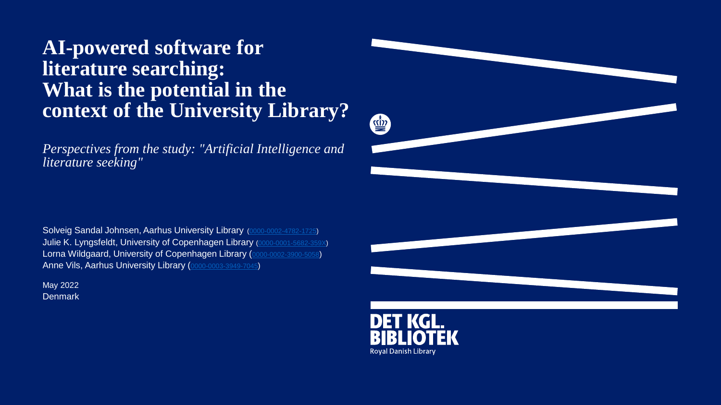### **AI-powered software for literature searching: What is the potential in the context of the University Library?**

*Perspectives from the study: "Artificial Intelligence and literature seeking"*

Solveig Sandal Johnsen, Aarhus University Library [\(0000-0002-4782-1725](https://orcid.org/0000-0002-4782-1725)) Julie K. Lyngsfeldt, University of Copenhagen Library ([0000-0001-5682-359X](https://orcid.org/0000-0001-5682-359X)) Lorna Wildgaard, University of Copenhagen Library ([0000-0002-3900-5058](https://orcid.org/0000-0002-3900-5058)) Anne Vils, Aarhus University Library ([0000-0003-3949-7045](https://orcid.org/0000-0003-3949-7045))

**Denmark** May 2022



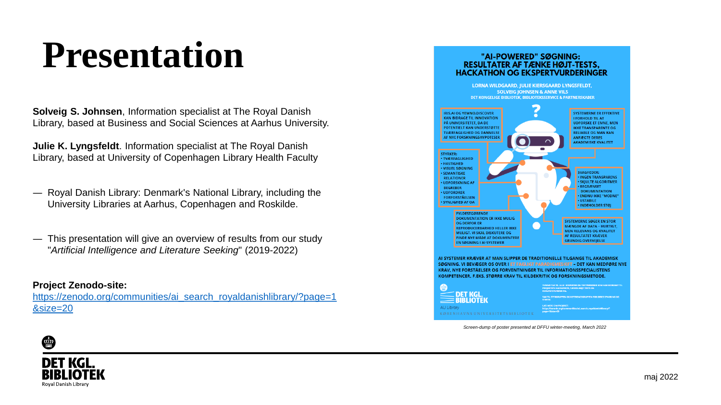### **Presentation**

**Solveig S. Johnsen**, Information specialist at The Royal Danish Library, based at Business and Social Sciences at Aarhus University.

**Julie K. Lyngsfeldt**. Information specialist at The Royal Danish Library, based at University of Copenhagen Library Health Faculty

- ― Royal Danish Library: Denmark's National Library, including the University Libraries at Aarhus, Copenhagen and Roskilde.
- ― This presentation will give an overview of results from our study "*Artificial Intelligence and Literature Seeking*" (2019-2022)

#### **Project Zenodo-site:**

[https://zenodo.org/communities/ai\\_search\\_royaldanishlibrary/?page=1](https://zenodo.org/communities/ai_search_royaldanishlibrary/?page=1&size=20) &size=20

#### "AI-POWERED" SØGNING: **RESULTATER AF TÆNKE HØJT-TESTS. HACKATHON OG EKSPERTVURDERINGER**



*Screen-dump of poster presented at DFFU winter-meeting, March 2022*

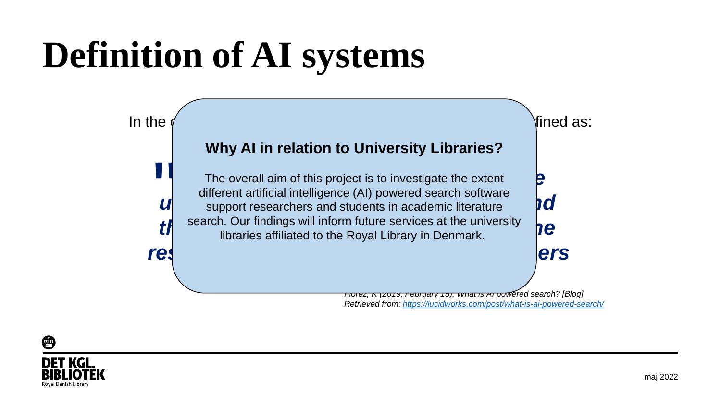## **Definition of AI systems**



*Retrieved from: <https://lucidworks.com/post/what-is-ai-powered-search/>*



 $\overline{\mathbb{Q}}$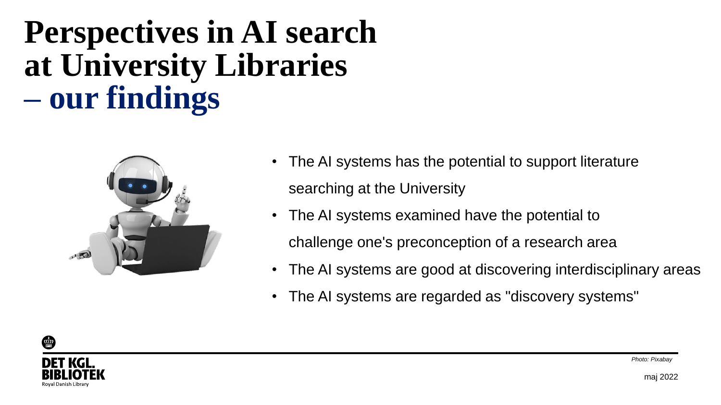### **Perspectives in AI search at University Libraries – our findings**



- The AI systems has the potential to support literature searching at the University
- The AI systems examined have the potential to challenge one's preconception of a research area
- The AI systems are good at discovering interdisciplinary areas
- The AI systems are regarded as "discovery systems"

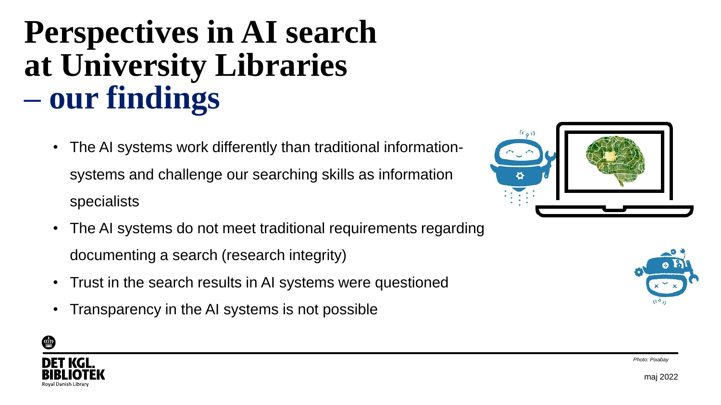### **Perspectives in AI search at University Libraries – our findings**

- The AI systems work differently than traditional informationsystems and challenge our searching skills as information specialists
- The AI systems do not meet traditional requirements regarding documenting a search (research integrity)
- Trust in the search results in AI systems were questioned
- Transparency in the AI systems is not possible







*Photo: Pixabay*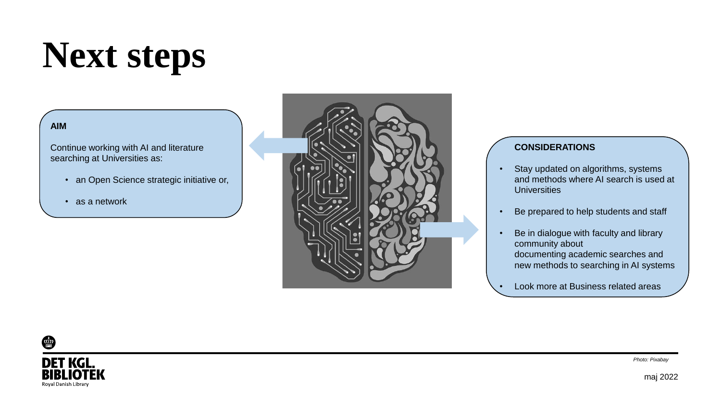### **Next steps**

#### **AIM**

Continue working with AI and literature searching at Universities as:

- an Open Science strategic initiative or,
- as a network



#### **CONSIDERATIONS**

- Stay updated on algorithms, systems and methods where AI search is used at **Universities**
- Be prepared to help students and staff
- Be in dialogue with faculty and library community about documenting academic searches and new methods to searching in AI systems
- Look more at Business related areas



*Photo: Pixabay*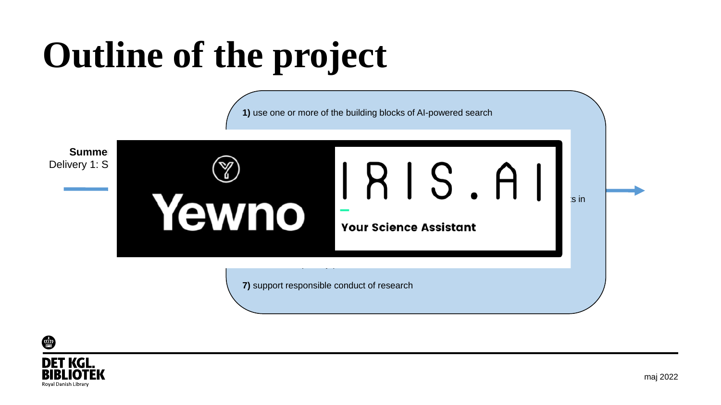

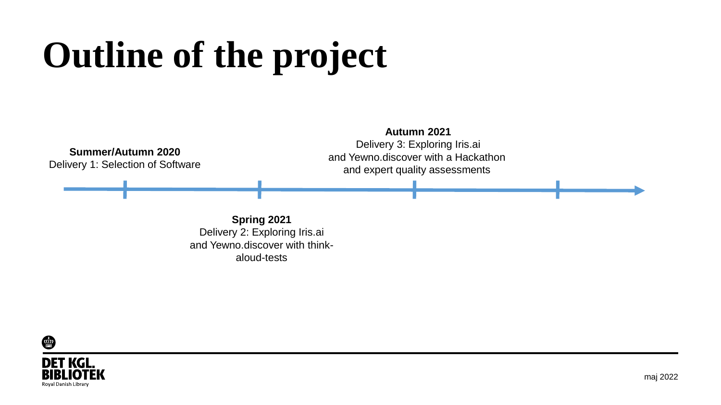

**Spring 2021** Delivery 2: Exploring Iris.ai and Yewno.discover with thinkaloud-tests

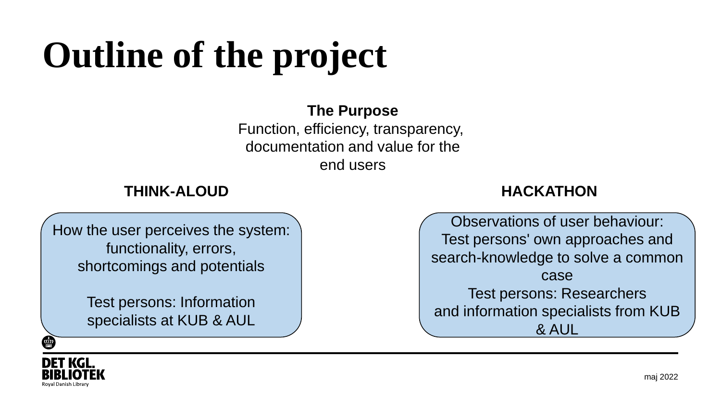#### **The Purpose**

Function, efficiency, transparency, documentation and value for the end users

#### **THINK-ALOUD HACKATHON**

Observations of user behaviour:

Test persons' own approaches and

search-knowledge to solve a common

How the user perceives the system: functionality, errors, shortcomings and potentials

> Test persons: Information specialists at KUB & AUL



case Test persons: Researchers and information specialists from KUB & AUL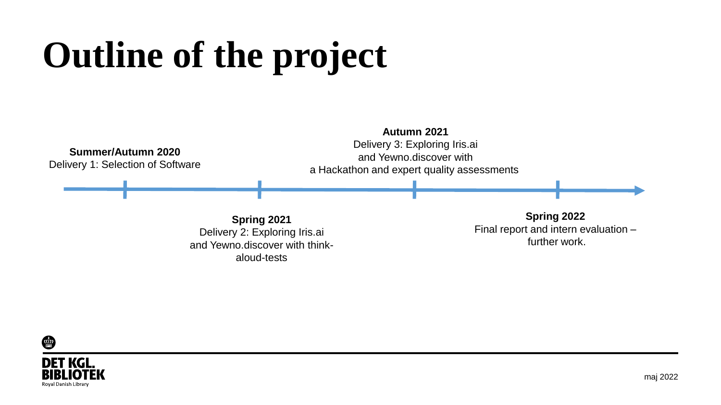

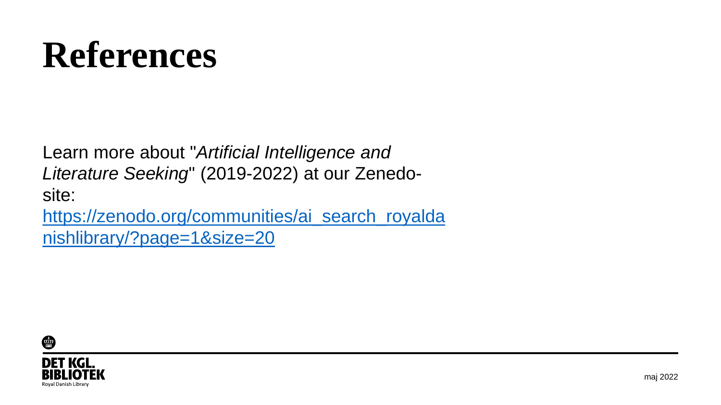### **References**

Learn more about "*Artificial Intelligence and Literature Seeking*" (2019-2022) at our Zenedosite: [https://zenodo.org/communities/ai\\_search\\_royalda](https://zenodo.org/communities/ai_search_royaldanishlibrary/?page=1&size=20)

nishlibrary/?page=1&size=20